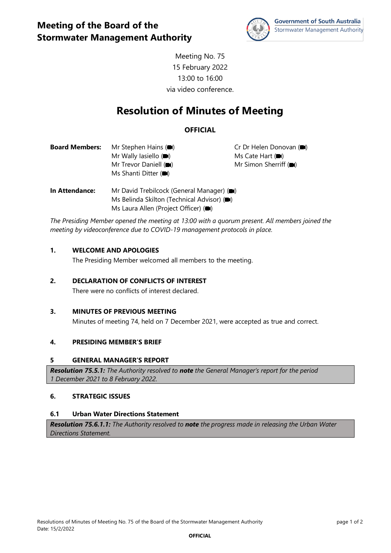

Meeting No. 75 15 February 2022 13:00 to 16:00 via video conference.

# **Resolution of Minutes of Meeting**

## **OFFICIAL**

| <b>Board Members:</b> | Mr Stephen Hains ( <sup>1</sup>    | Cr Dr Helen Donovan ( $\blacksquare$ ) |
|-----------------------|------------------------------------|----------------------------------------|
|                       | Mr Wally lasiello $(\blacksquare)$ | Ms Cate Hart $(\blacksquare)$          |
|                       | Mr Trevor Daniell ( $\blacksquare$ | Mr Simon Sherriff ( $\blacksquare$ )   |
|                       | Ms Shanti Ditter (                 |                                        |
| .                     |                                    |                                        |

**In Attendance:** Mr David Trebilcock (General Manager) ( $\blacksquare$ ) Ms Belinda Skilton (Technical Advisor) ( $\blacksquare$ ) Ms Laura Allen (Project Officer) ( $\blacksquare$ )

*The Presiding Member opened the meeting at 13:00 with a quorum present. All members joined the meeting by videoconference due to COVID-19 management protocols in place.*

## **1. WELCOME AND APOLOGIES**

The Presiding Member welcomed all members to the meeting.

## **2. DECLARATION OF CONFLICTS OF INTEREST**

There were no conflicts of interest declared.

## **3. MINUTES OF PREVIOUS MEETING**

Minutes of meeting 74, held on 7 December 2021, were accepted as true and correct.

## **4. PRESIDING MEMBER'S BRIEF**

#### **5 GENERAL MANAGER'S REPORT**

*Resolution 75.5.1: The Authority resolved to note the General Manager's report for the period 1 December 2021 to 8 February 2022.*

## **6. STRATEGIC ISSUES**

## **6.1 Urban Water Directions Statement**

*Resolution 75.6.1.1: The Authority resolved to note the progress made in releasing the Urban Water Directions Statement.*